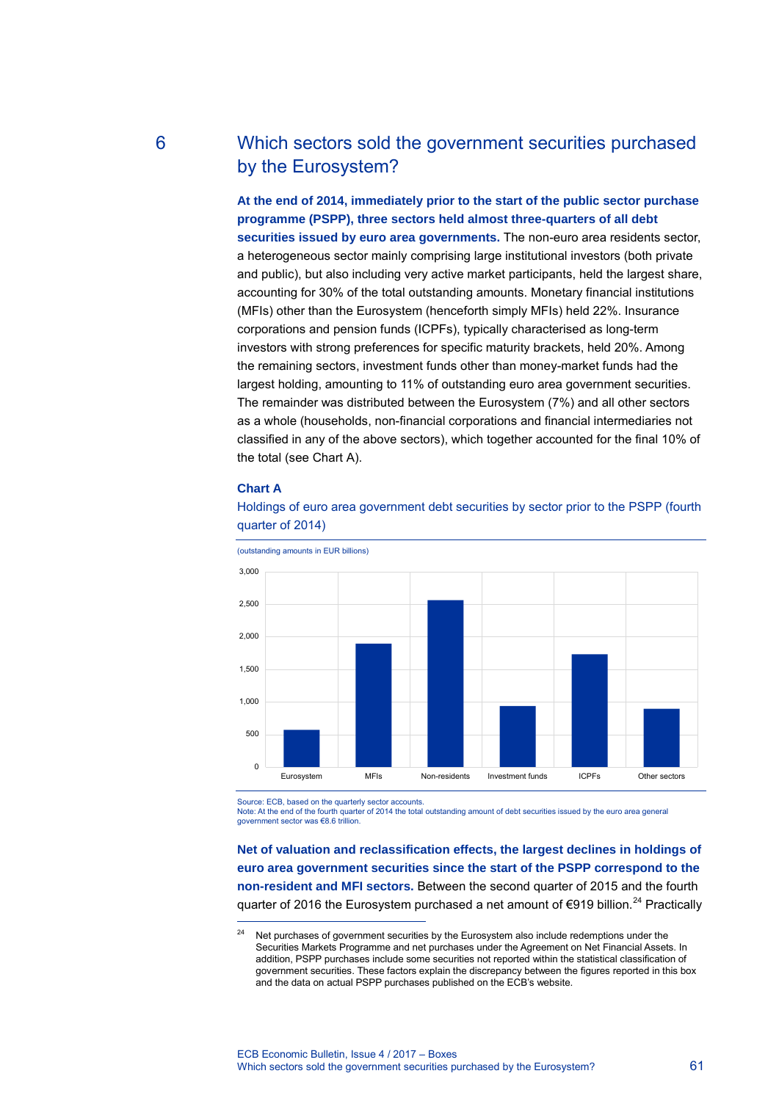# 6 Which sectors sold the government securities purchased by the Eurosystem?

**At the end of 2014, immediately prior to the start of the public sector purchase programme (PSPP), three sectors held almost three-quarters of all debt securities issued by euro area governments.** The non-euro area residents sector, a heterogeneous sector mainly comprising large institutional investors (both private and public), but also including very active market participants, held the largest share, accounting for 30% of the total outstanding amounts. Monetary financial institutions (MFIs) other than the Eurosystem (henceforth simply MFIs) held 22%. Insurance corporations and pension funds (ICPFs), typically characterised as long-term investors with strong preferences for specific maturity brackets, held 20%. Among the remaining sectors, investment funds other than money-market funds had the largest holding, amounting to 11% of outstanding euro area government securities. The remainder was distributed between the Eurosystem (7%) and all other sectors as a whole (households, non-financial corporations and financial intermediaries not classified in any of the above sectors), which together accounted for the final 10% of the total (see Chart A).

### **Chart A**

-



Holdings of euro area government debt securities by sector prior to the PSPP (fourth quarter of 2014)

Source: ECB, based on the quarterly sector accounts.

Note: At the end of the fourth quarter of 2014 the total outstanding amount of debt securities issued by the euro area general government sector was €8.6 trillion.

**Net of valuation and reclassification effects, the largest declines in holdings of euro area government securities since the start of the PSPP correspond to the non-resident and MFI sectors.** Between the second quarter of 2015 and the fourth quarter of 2016 the Eurosystem purchased a net amount of  $\epsilon$ 919 billion.<sup>[24](#page-0-0)</sup> Practically

<span id="page-0-0"></span>Net purchases of government securities by the Eurosystem also include redemptions under the Securities Markets Programme and net purchases under the Agreement on Net Financial Assets. In addition, PSPP purchases include some securities not reported within the statistical classification of government securities. These factors explain the discrepancy between the figures reported in this box and the data on actual PSPP purchases published on the ECB's website.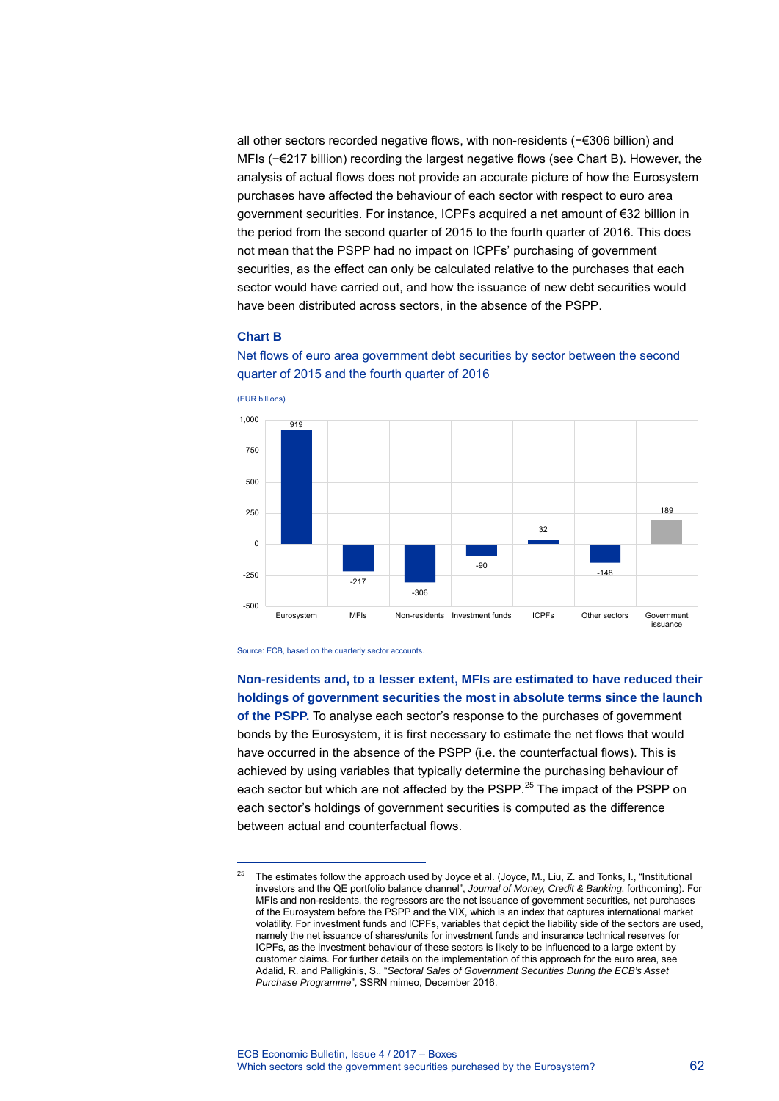all other sectors recorded negative flows, with non-residents (−€306 billion) and MFIs (−€217 billion) recording the largest negative flows (see Chart B). However, the analysis of actual flows does not provide an accurate picture of how the Eurosystem purchases have affected the behaviour of each sector with respect to euro area government securities. For instance, ICPFs acquired a net amount of €32 billion in the period from the second quarter of 2015 to the fourth quarter of 2016. This does not mean that the PSPP had no impact on ICPFs' purchasing of government securities, as the effect can only be calculated relative to the purchases that each sector would have carried out, and how the issuance of new debt securities would have been distributed across sectors, in the absence of the PSPP.

# **Chart B**



Net flows of euro area government debt securities by sector between the second quarter of 2015 and the fourth quarter of 2016

Source: ECB, based on the quarterly sector accounts.

between actual and counterfactual flows.

-

**Non-residents and, to a lesser extent, MFIs are estimated to have reduced their holdings of government securities the most in absolute terms since the launch of the PSPP.** To analyse each sector's response to the purchases of government bonds by the Eurosystem, it is first necessary to estimate the net flows that would have occurred in the absence of the PSPP (i.e. the counterfactual flows). This is achieved by using variables that typically determine the purchasing behaviour of each sector but which are not affected by the PSPP.<sup>[25](#page-1-0)</sup> The impact of the PSPP on each sector's holdings of government securities is computed as the difference

<span id="page-1-0"></span><sup>&</sup>lt;sup>25</sup> The estimates follow the approach used by Joyce et al. (Joyce, M., Liu, Z. and Tonks, I., "Institutional investors and the QE portfolio balance channel", *Journal of Money, Credit & Banking*, forthcoming). For MFIs and non-residents, the regressors are the net issuance of government securities, net purchases of the Eurosystem before the PSPP and the VIX, which is an index that captures international market volatility. For investment funds and ICPFs, variables that depict the liability side of the sectors are used, namely the net issuance of shares/units for investment funds and insurance technical reserves for ICPFs, as the investment behaviour of these sectors is likely to be influenced to a large extent by customer claims. For further details on the implementation of this approach for the euro area, see Adalid, R. and Palligkinis, S., "*Sectoral Sales of Government Securities During the ECB's Asset Purchase Programme*", SSRN mimeo, December 2016.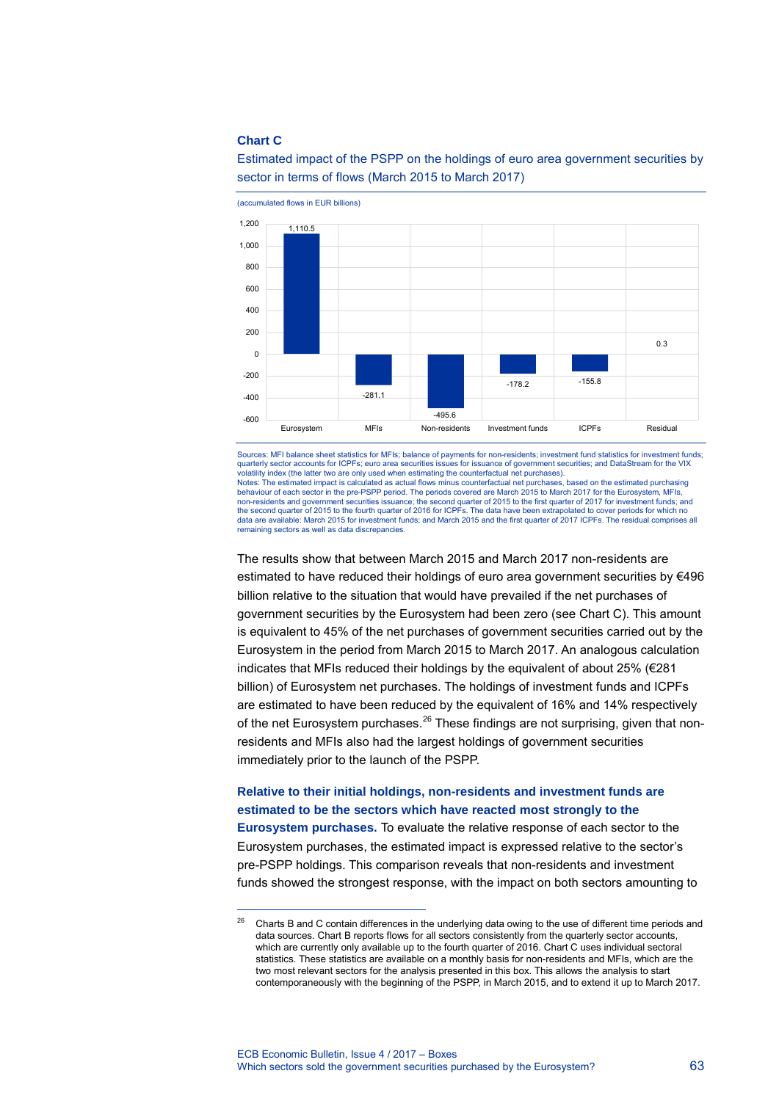#### **Chart C**

<span id="page-2-0"></span>-



Estimated impact of the PSPP on the holdings of euro area government securities by sector in terms of flows (March 2015 to March 2017)

Sources: MFI balance sheet statistics for MFIs; balance of payments for non-residents; investment fund statistics for investment funds; quarterly sector accounts for ICPFs; euro area securities issues for issuance of government securities; and DataStream for the VIX volatility index (the latter two are only used when estimating the counterfactual net purchases). Notes: The estimated impact is calculated as actual flows minus counterfactual net purchases, based on the estimated purchasing behaviour of each sector in the pre-PSPP period. The periods covered are March 2015 to March 2017 for the Eurosystem, MFIs, non-residents and government securities issuance; the second quarter of 2015 to the first quarter of 2017 for investment funds; and<br>the second quarter of 2015 to the fourth quarter of 2016 for ICPFs. The data have been ext data are available: March 2015 for investment funds; and March 2015 and the first quarter of 2017 ICPFs. The residual comprises all remaining sectors as well as data discrepancies.

The results show that between March 2015 and March 2017 non-residents are estimated to have reduced their holdings of euro area government securities by €496 billion relative to the situation that would have prevailed if the net purchases of government securities by the Eurosystem had been zero (see Chart C). This amount is equivalent to 45% of the net purchases of government securities carried out by the Eurosystem in the period from March 2015 to March 2017. An analogous calculation indicates that MFIs reduced their holdings by the equivalent of about 25% (€281 billion) of Eurosystem net purchases. The holdings of investment funds and ICPFs are estimated to have been reduced by the equivalent of 16% and 14% respectively of the net Eurosystem purchases.<sup>[26](#page-2-0)</sup> These findings are not surprising, given that nonresidents and MFIs also had the largest holdings of government securities immediately prior to the launch of the PSPP.

# **Relative to their initial holdings, non-residents and investment funds are estimated to be the sectors which have reacted most strongly to the**

**Eurosystem purchases.** To evaluate the relative response of each sector to the Eurosystem purchases, the estimated impact is expressed relative to the sector's pre-PSPP holdings. This comparison reveals that non-residents and investment funds showed the strongest response, with the impact on both sectors amounting to

<sup>26</sup> Charts B and C contain differences in the underlying data owing to the use of different time periods and data sources. Chart B reports flows for all sectors consistently from the quarterly sector accounts, which are currently only available up to the fourth quarter of 2016. Chart C uses individual sectoral statistics. These statistics are available on a monthly basis for non-residents and MFIs, which are the two most relevant sectors for the analysis presented in this box. This allows the analysis to start contemporaneously with the beginning of the PSPP, in March 2015, and to extend it up to March 2017.